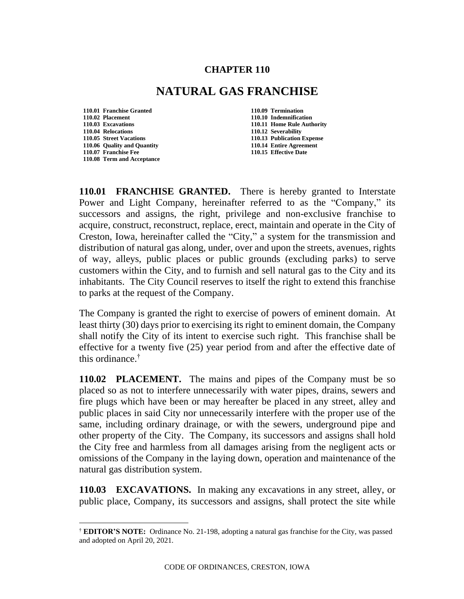## **CHAPTER 110**

## **NATURAL GAS FRANCHISE**

- **110.01 Franchise Granted 110.09 Termination 110.02 Placement 110.10 Indemnification 110.04 Relocations 110.12 Severability 110.06 Quality and Quantity 110.14 Entire Agreement 110.07 Franchise Fee 110.15 Effective Date 110.08 Term and Acceptance**
- **110.03 Excavations 110.11 Home Rule Authority 110.13 Publication Expense**

**110.01 FRANCHISE GRANTED.** There is hereby granted to Interstate Power and Light Company, hereinafter referred to as the "Company," its successors and assigns, the right, privilege and non-exclusive franchise to acquire, construct, reconstruct, replace, erect, maintain and operate in the City of Creston, Iowa, hereinafter called the "City," a system for the transmission and distribution of natural gas along, under, over and upon the streets, avenues, rights of way, alleys, public places or public grounds (excluding parks) to serve customers within the City, and to furnish and sell natural gas to the City and its inhabitants. The City Council reserves to itself the right to extend this franchise to parks at the request of the Company.

The Company is granted the right to exercise of powers of eminent domain. At least thirty (30) days prior to exercising its right to eminent domain, the Company shall notify the City of its intent to exercise such right. This franchise shall be effective for a twenty five (25) year period from and after the effective date of this ordinance.†

**110.02 PLACEMENT.** The mains and pipes of the Company must be so placed so as not to interfere unnecessarily with water pipes, drains, sewers and fire plugs which have been or may hereafter be placed in any street, alley and public places in said City nor unnecessarily interfere with the proper use of the same, including ordinary drainage, or with the sewers, underground pipe and other property of the City. The Company, its successors and assigns shall hold the City free and harmless from all damages arising from the negligent acts or omissions of the Company in the laying down, operation and maintenance of the natural gas distribution system.

**110.03 EXCAVATIONS.** In making any excavations in any street, alley, or public place, Company, its successors and assigns, shall protect the site while

CODE OF ORDINANCES, CRESTON, IOWA

<sup>†</sup> **EDITOR'S NOTE:** Ordinance No. 21-198, adopting a natural gas franchise for the City, was passed and adopted on April 20, 2021.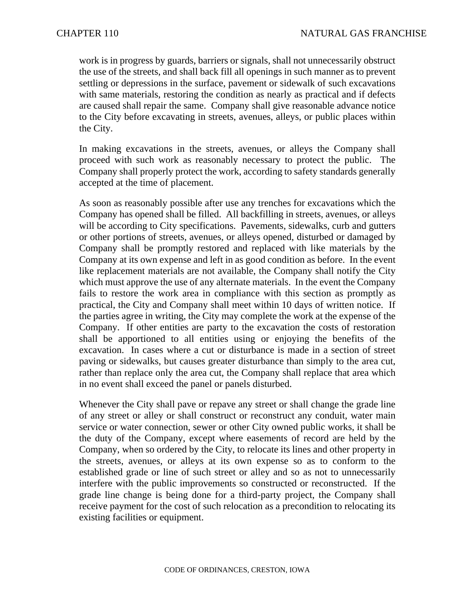work is in progress by guards, barriers or signals, shall not unnecessarily obstruct the use of the streets, and shall back fill all openings in such manner as to prevent settling or depressions in the surface, pavement or sidewalk of such excavations with same materials, restoring the condition as nearly as practical and if defects are caused shall repair the same. Company shall give reasonable advance notice to the City before excavating in streets, avenues, alleys, or public places within the City.

In making excavations in the streets, avenues, or alleys the Company shall proceed with such work as reasonably necessary to protect the public. The Company shall properly protect the work, according to safety standards generally accepted at the time of placement.

As soon as reasonably possible after use any trenches for excavations which the Company has opened shall be filled. All backfilling in streets, avenues, or alleys will be according to City specifications. Pavements, sidewalks, curb and gutters or other portions of streets, avenues, or alleys opened, disturbed or damaged by Company shall be promptly restored and replaced with like materials by the Company at its own expense and left in as good condition as before. In the event like replacement materials are not available, the Company shall notify the City which must approve the use of any alternate materials. In the event the Company fails to restore the work area in compliance with this section as promptly as practical, the City and Company shall meet within 10 days of written notice. If the parties agree in writing, the City may complete the work at the expense of the Company. If other entities are party to the excavation the costs of restoration shall be apportioned to all entities using or enjoying the benefits of the excavation. In cases where a cut or disturbance is made in a section of street paving or sidewalks, but causes greater disturbance than simply to the area cut, rather than replace only the area cut, the Company shall replace that area which in no event shall exceed the panel or panels disturbed.

Whenever the City shall pave or repave any street or shall change the grade line of any street or alley or shall construct or reconstruct any conduit, water main service or water connection, sewer or other City owned public works, it shall be the duty of the Company, except where easements of record are held by the Company, when so ordered by the City, to relocate its lines and other property in the streets, avenues, or alleys at its own expense so as to conform to the established grade or line of such street or alley and so as not to unnecessarily interfere with the public improvements so constructed or reconstructed. If the grade line change is being done for a third-party project, the Company shall receive payment for the cost of such relocation as a precondition to relocating its existing facilities or equipment.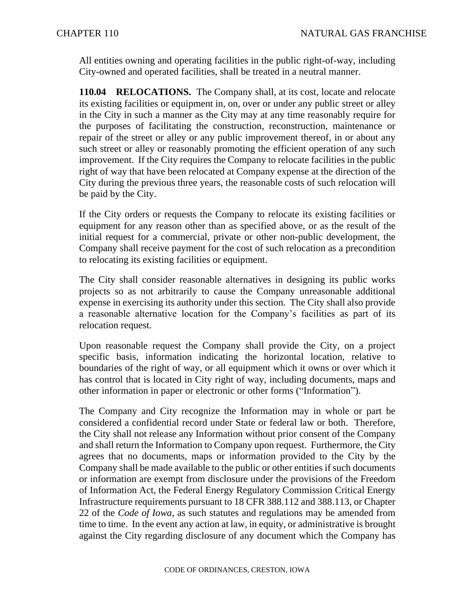All entities owning and operating facilities in the public right-of-way, including City-owned and operated facilities, shall be treated in a neutral manner.

**110.04 RELOCATIONS.** The Company shall, at its cost, locate and relocate its existing facilities or equipment in, on, over or under any public street or alley in the City in such a manner as the City may at any time reasonably require for the purposes of facilitating the construction, reconstruction, maintenance or repair of the street or alley or any public improvement thereof, in or about any such street or alley or reasonably promoting the efficient operation of any such improvement. If the City requires the Company to relocate facilities in the public right of way that have been relocated at Company expense at the direction of the City during the previous three years, the reasonable costs of such relocation will be paid by the City.

If the City orders or requests the Company to relocate its existing facilities or equipment for any reason other than as specified above, or as the result of the initial request for a commercial, private or other non-public development, the Company shall receive payment for the cost of such relocation as a precondition to relocating its existing facilities or equipment.

The City shall consider reasonable alternatives in designing its public works projects so as not arbitrarily to cause the Company unreasonable additional expense in exercising its authority under this section. The City shall also provide a reasonable alternative location for the Company's facilities as part of its relocation request.

Upon reasonable request the Company shall provide the City, on a project specific basis, information indicating the horizontal location, relative to boundaries of the right of way, or all equipment which it owns or over which it has control that is located in City right of way, including documents, maps and other information in paper or electronic or other forms ("Information").

The Company and City recognize the Information may in whole or part be considered a confidential record under State or federal law or both. Therefore, the City shall not release any Information without prior consent of the Company and shall return the Information to Company upon request. Furthermore, the City agrees that no documents, maps or information provided to the City by the Company shall be made available to the public or other entities if such documents or information are exempt from disclosure under the provisions of the Freedom of Information Act, the Federal Energy Regulatory Commission Critical Energy Infrastructure requirements pursuant to 18 CFR 388.112 and 388.113, or Chapter 22 of the *Code of Iowa*, as such statutes and regulations may be amended from time to time. In the event any action at law, in equity, or administrative is brought against the City regarding disclosure of any document which the Company has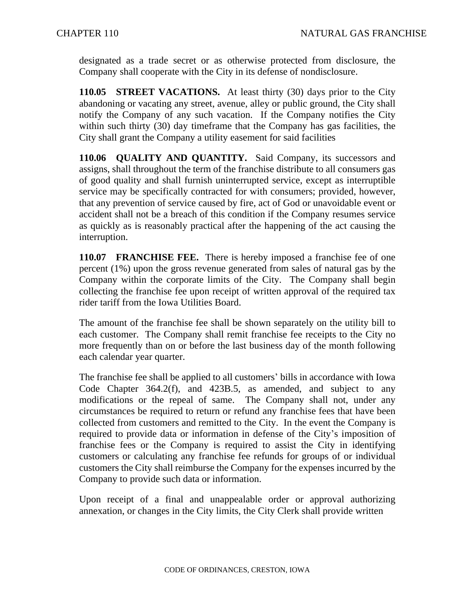designated as a trade secret or as otherwise protected from disclosure, the Company shall cooperate with the City in its defense of nondisclosure.

**110.05 STREET VACATIONS.** At least thirty (30) days prior to the City abandoning or vacating any street, avenue, alley or public ground, the City shall notify the Company of any such vacation. If the Company notifies the City within such thirty (30) day timeframe that the Company has gas facilities, the City shall grant the Company a utility easement for said facilities

**110.06 QUALITY AND QUANTITY.** Said Company, its successors and assigns, shall throughout the term of the franchise distribute to all consumers gas of good quality and shall furnish uninterrupted service, except as interruptible service may be specifically contracted for with consumers; provided, however, that any prevention of service caused by fire, act of God or unavoidable event or accident shall not be a breach of this condition if the Company resumes service as quickly as is reasonably practical after the happening of the act causing the interruption.

**110.07 FRANCHISE FEE.** There is hereby imposed a franchise fee of one percent (1%) upon the gross revenue generated from sales of natural gas by the Company within the corporate limits of the City. The Company shall begin collecting the franchise fee upon receipt of written approval of the required tax rider tariff from the Iowa Utilities Board.

The amount of the franchise fee shall be shown separately on the utility bill to each customer. The Company shall remit franchise fee receipts to the City no more frequently than on or before the last business day of the month following each calendar year quarter.

The franchise fee shall be applied to all customers' bills in accordance with Iowa Code Chapter 364.2(f), and 423B.5, as amended, and subject to any modifications or the repeal of same. The Company shall not, under any circumstances be required to return or refund any franchise fees that have been collected from customers and remitted to the City. In the event the Company is required to provide data or information in defense of the City's imposition of franchise fees or the Company is required to assist the City in identifying customers or calculating any franchise fee refunds for groups of or individual customers the City shall reimburse the Company for the expenses incurred by the Company to provide such data or information.

Upon receipt of a final and unappealable order or approval authorizing annexation, or changes in the City limits, the City Clerk shall provide written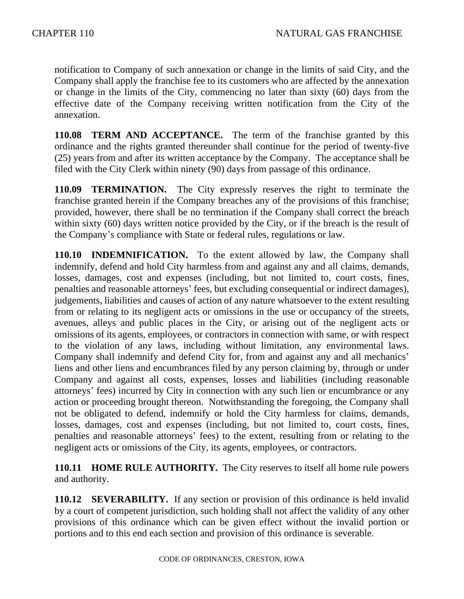notification to Company of such annexation or change in the limits of said City, and the Company shall apply the franchise fee to its customers who are affected by the annexation or change in the limits of the City, commencing no later than sixty (60) days from the effective date of the Company receiving written notification from the City of the annexation.

**110.08 TERM AND ACCEPTANCE.** The term of the franchise granted by this ordinance and the rights granted thereunder shall continue for the period of twenty-five (25) years from and after its written acceptance by the Company. The acceptance shall be filed with the City Clerk within ninety (90) days from passage of this ordinance.

**110.09 TERMINATION.** The City expressly reserves the right to terminate the franchise granted herein if the Company breaches any of the provisions of this franchise; provided, however, there shall be no termination if the Company shall correct the breach within sixty (60) days written notice provided by the City, or if the breach is the result of the Company's compliance with State or federal rules, regulations or law.

**110.10 INDEMNIFICATION.** To the extent allowed by law, the Company shall indemnify, defend and hold City harmless from and against any and all claims, demands, losses, damages, cost and expenses (including, but not limited to, court costs, fines, penalties and reasonable attorneys' fees, but excluding consequential or indirect damages), judgements, liabilities and causes of action of any nature whatsoever to the extent resulting from or relating to its negligent acts or omissions in the use or occupancy of the streets, avenues, alleys and public places in the City, or arising out of the negligent acts or omissions of its agents, employees, or contractors in connection with same, or with respect to the violation of any laws, including without limitation, any environmental laws. Company shall indemnify and defend City for, from and against any and all mechanics' liens and other liens and encumbrances filed by any person claiming by, through or under Company and against all costs, expenses, losses and liabilities (including reasonable attorneys' fees) incurred by City in connection with any such lien or encumbrance or any action or proceeding brought thereon. Notwithstanding the foregoing, the Company shall not be obligated to defend, indemnify or hold the City harmless for claims, demands, losses, damages, cost and expenses (including, but not limited to, court costs, fines, penalties and reasonable attorneys' fees) to the extent, resulting from or relating to the negligent acts or omissions of the City, its agents, employees, or contractors.

**110.11 HOME RULE AUTHORITY.** The City reserves to itself all home rule powers and authority.

**110.12 SEVERABILITY.** If any section or provision of this ordinance is held invalid by a court of competent jurisdiction, such holding shall not affect the validity of any other provisions of this ordinance which can be given effect without the invalid portion or portions and to this end each section and provision of this ordinance is severable.